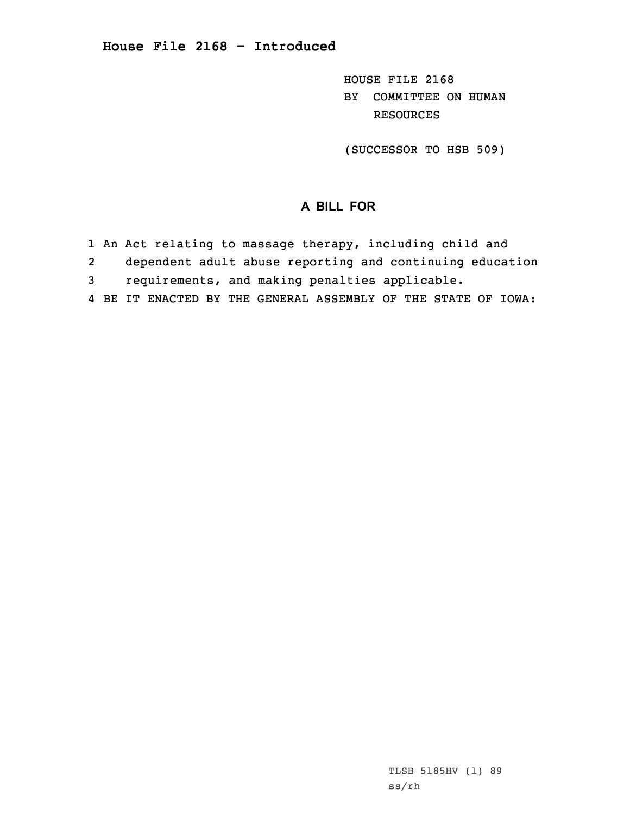HOUSE FILE 2168 BY COMMITTEE ON HUMAN RESOURCES

(SUCCESSOR TO HSB 509)

## **A BILL FOR**

- 1 An Act relating to massage therapy, including child and
- 2 dependent adult abuse reporting and continuing education 3 requirements, and making penalties applicable.
- 4 BE IT ENACTED BY THE GENERAL ASSEMBLY OF THE STATE OF IOWA:

TLSB 5185HV (1) 89 ss/rh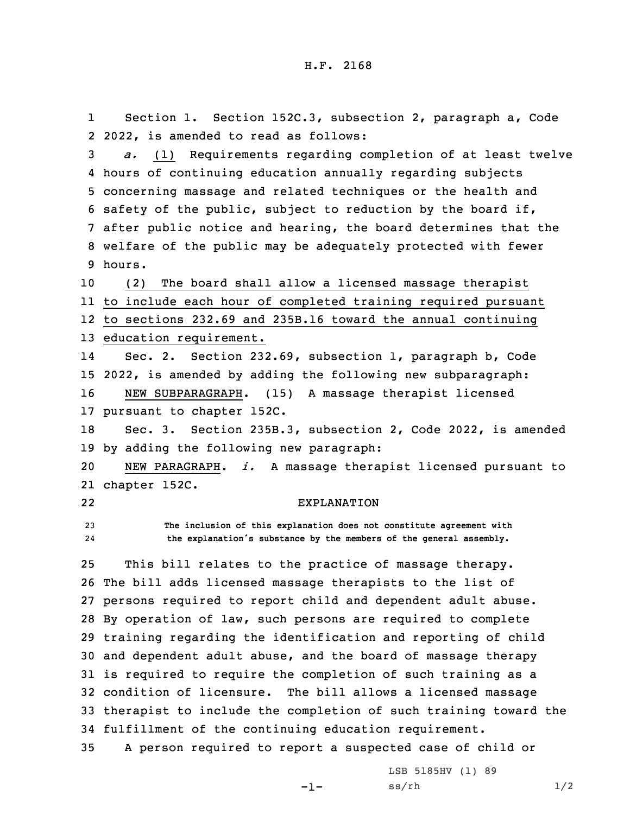1 Section 1. Section 152C.3, subsection 2, paragraph a, Code 2 2022, is amended to read as follows:

 *a.* (1) Requirements regarding completion of at least twelve hours of continuing education annually regarding subjects concerning massage and related techniques or the health and safety of the public, subject to reduction by the board if, after public notice and hearing, the board determines that the welfare of the public may be adequately protected with fewer 9 hours.

 (2) The board shall allow <sup>a</sup> licensed massage therapist to include each hour of completed training required pursuant to sections 232.69 and 235B.16 toward the annual continuing education requirement.

14 Sec. 2. Section 232.69, subsection 1, paragraph b, Code 15 2022, is amended by adding the following new subparagraph: 16 NEW SUBPARAGRAPH. (15) <sup>A</sup> massage therapist licensed 17 pursuant to chapter 152C.

18 Sec. 3. Section 235B.3, subsection 2, Code 2022, is amended 19 by adding the following new paragraph:

20 NEW PARAGRAPH. *i.* <sup>A</sup> massage therapist licensed pursuant to 21 chapter 152C.

22

## EXPLANATION

23 **The inclusion of this explanation does not constitute agreement with** 24**the explanation's substance by the members of the general assembly.**

 This bill relates to the practice of massage therapy. The bill adds licensed massage therapists to the list of persons required to report child and dependent adult abuse. By operation of law, such persons are required to complete training regarding the identification and reporting of child and dependent adult abuse, and the board of massage therapy is required to require the completion of such training as <sup>a</sup> condition of licensure. The bill allows <sup>a</sup> licensed massage therapist to include the completion of such training toward the fulfillment of the continuing education requirement.

35 <sup>A</sup> person required to report <sup>a</sup> suspected case of child or

-1-

LSB 5185HV (1) 89  $ss/rh$   $1/2$